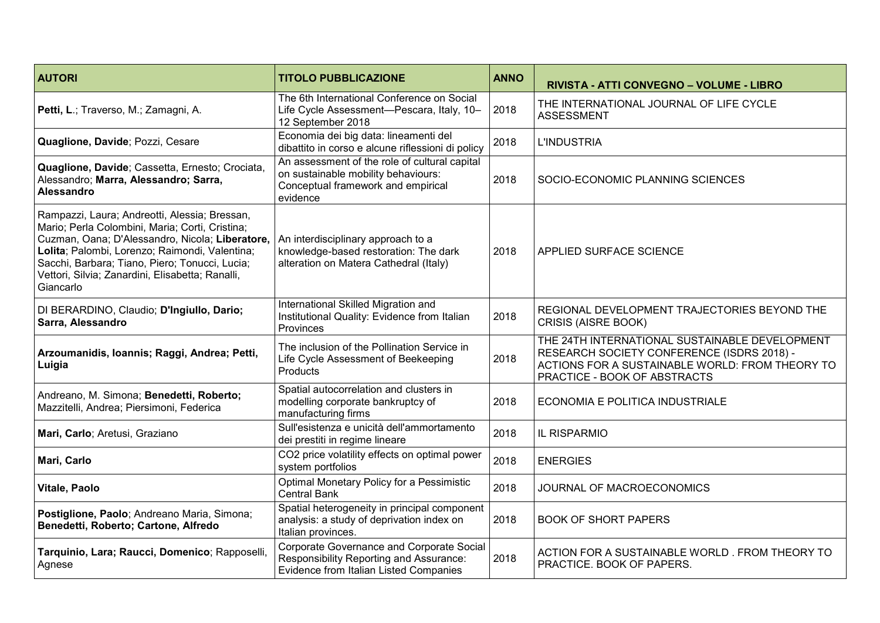| <b>AUTORI</b>                                                                                                                                                                                                                                                                                                            | <b>TITOLO PUBBLICAZIONE</b>                                                                                                            | <b>ANNO</b> | RIVISTA - ATTI CONVEGNO - VOLUME - LIBRO                                                                                                                                        |
|--------------------------------------------------------------------------------------------------------------------------------------------------------------------------------------------------------------------------------------------------------------------------------------------------------------------------|----------------------------------------------------------------------------------------------------------------------------------------|-------------|---------------------------------------------------------------------------------------------------------------------------------------------------------------------------------|
| Petti, L.; Traverso, M.; Zamagni, A.                                                                                                                                                                                                                                                                                     | The 6th International Conference on Social<br>Life Cycle Assessment-Pescara, Italy, 10-<br>12 September 2018                           | 2018        | THE INTERNATIONAL JOURNAL OF LIFE CYCLE<br><b>ASSESSMENT</b>                                                                                                                    |
| Quaglione, Davide; Pozzi, Cesare                                                                                                                                                                                                                                                                                         | Economia dei big data: lineamenti del<br>dibattito in corso e alcune riflessioni di policy                                             | 2018        | <b>L'INDUSTRIA</b>                                                                                                                                                              |
| Quaglione, Davide; Cassetta, Ernesto; Crociata,<br>Alessandro; Marra, Alessandro; Sarra,<br><b>Alessandro</b>                                                                                                                                                                                                            | An assessment of the role of cultural capital<br>on sustainable mobility behaviours:<br>Conceptual framework and empirical<br>evidence | 2018        | SOCIO-ECONOMIC PLANNING SCIENCES                                                                                                                                                |
| Rampazzi, Laura; Andreotti, Alessia; Bressan,<br>Mario; Perla Colombini, Maria; Corti, Cristina;<br>Cuzman, Oana; D'Alessandro, Nicola; Liberatore,<br>Lolita; Palombi, Lorenzo; Raimondi, Valentina;<br>Sacchi, Barbara; Tiano, Piero; Tonucci, Lucia;<br>Vettori, Silvia; Zanardini, Elisabetta; Ranalli,<br>Giancarlo | An interdisciplinary approach to a<br>knowledge-based restoration: The dark<br>alteration on Matera Cathedral (Italy)                  | 2018        | APPLIED SURFACE SCIENCE                                                                                                                                                         |
| DI BERARDINO, Claudio; D'Ingiullo, Dario;<br>Sarra, Alessandro                                                                                                                                                                                                                                                           | International Skilled Migration and<br>Institutional Quality: Evidence from Italian<br>Provinces                                       | 2018        | REGIONAL DEVELOPMENT TRAJECTORIES BEYOND THE<br>CRISIS (AISRE BOOK)                                                                                                             |
| Arzoumanidis, Ioannis; Raggi, Andrea; Petti,<br>Luigia                                                                                                                                                                                                                                                                   | The inclusion of the Pollination Service in<br>Life Cycle Assessment of Beekeeping<br>Products                                         | 2018        | THE 24TH INTERNATIONAL SUSTAINABLE DEVELOPMENT<br>RESEARCH SOCIETY CONFERENCE (ISDRS 2018) -<br>ACTIONS FOR A SUSTAINABLE WORLD: FROM THEORY TO<br>PRACTICE - BOOK OF ABSTRACTS |
| Andreano, M. Simona; Benedetti, Roberto;<br>Mazzitelli, Andrea; Piersimoni, Federica                                                                                                                                                                                                                                     | Spatial autocorrelation and clusters in<br>modelling corporate bankruptcy of<br>manufacturing firms                                    | 2018        | ECONOMIA E POLITICA INDUSTRIALE                                                                                                                                                 |
| Mari, Carlo; Aretusi, Graziano                                                                                                                                                                                                                                                                                           | Sull'esistenza e unicità dell'ammortamento<br>dei prestiti in regime lineare                                                           | 2018        | IL RISPARMIO                                                                                                                                                                    |
| Mari, Carlo                                                                                                                                                                                                                                                                                                              | CO2 price volatility effects on optimal power<br>system portfolios                                                                     | 2018        | <b>ENERGIES</b>                                                                                                                                                                 |
| Vitale, Paolo                                                                                                                                                                                                                                                                                                            | Optimal Monetary Policy for a Pessimistic<br><b>Central Bank</b>                                                                       | 2018        | JOURNAL OF MACROECONOMICS                                                                                                                                                       |
| Postiglione, Paolo; Andreano Maria, Simona;<br>Benedetti, Roberto; Cartone, Alfredo                                                                                                                                                                                                                                      | Spatial heterogeneity in principal component<br>analysis: a study of deprivation index on<br>Italian provinces.                        | 2018        | <b>BOOK OF SHORT PAPERS</b>                                                                                                                                                     |
| Tarquinio, Lara; Raucci, Domenico; Rapposelli,<br>Agnese                                                                                                                                                                                                                                                                 | Corporate Governance and Corporate Social<br>Responsibility Reporting and Assurance:<br>Evidence from Italian Listed Companies         | 2018        | ACTION FOR A SUSTAINABLE WORLD. FROM THEORY TO<br>PRACTICE. BOOK OF PAPERS.                                                                                                     |